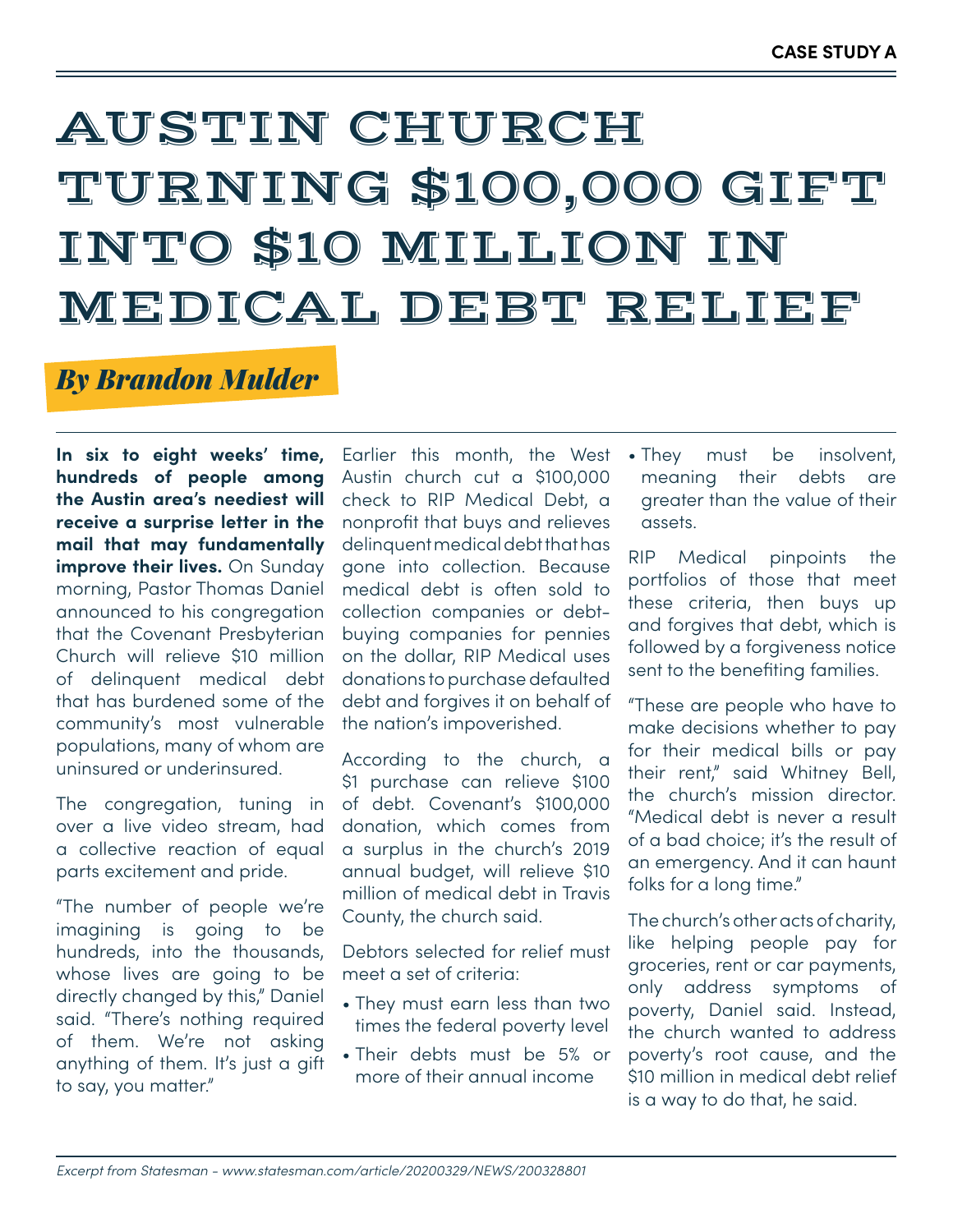## AUSTIN CHURCH TURNING \$100,000 GIFT INTO \$10 MILLION IN MEDICAL DEBT RELIEF

### *By Brandon Mulder*

**In six to eight weeks' time, hundreds of people among the Austin area's neediest will receive a surprise letter in the mail that may fundamentally improve their lives.** On Sunday morning, Pastor Thomas Daniel announced to his congregation that the Covenant Presbyterian Church will relieve \$10 million of delinquent medical debt that has burdened some of the community's most vulnerable populations, many of whom are uninsured or underinsured.

The congregation, tuning in over a live video stream, had a collective reaction of equal parts excitement and pride.

"The number of people we're imagining is going to be hundreds, into the thousands, whose lives are going to be directly changed by this," Daniel said. "There's nothing required of them. We're not asking anything of them. It's just a gift to say, you matter."

Earlier this month, the West Austin church cut a \$100,000 check to RIP Medical Debt, a nonprofit that buys and relieves delinquent medical debt that has gone into collection. Because medical debt is often sold to collection companies or debtbuying companies for pennies on the dollar, RIP Medical uses donations to purchase defaulted debt and forgives it on behalf of the nation's impoverished.

According to the church, a \$1 purchase can relieve \$100 of debt. Covenant's \$100,000 donation, which comes from a surplus in the church's 2019 annual budget, will relieve \$10 million of medical debt in Travis County, the church said.

Debtors selected for relief must meet a set of criteria:

- They must earn less than two times the federal poverty level
- Their debts must be 5% or more of their annual income

• They must be insolvent, meaning their debts are greater than the value of their assets.

RIP Medical pinpoints the portfolios of those that meet these criteria, then buys up and forgives that debt, which is followed by a forgiveness notice sent to the benefiting families.

"These are people who have to make decisions whether to pay for their medical bills or pay their rent," said Whitney Bell, the church's mission director. "Medical debt is never a result of a bad choice; it's the result of an emergency. And it can haunt folks for a long time."

The church's other acts of charity, like helping people pay for groceries, rent or car payments, only address symptoms of poverty, Daniel said. Instead, the church wanted to address poverty's root cause, and the \$10 million in medical debt relief is a way to do that, he said.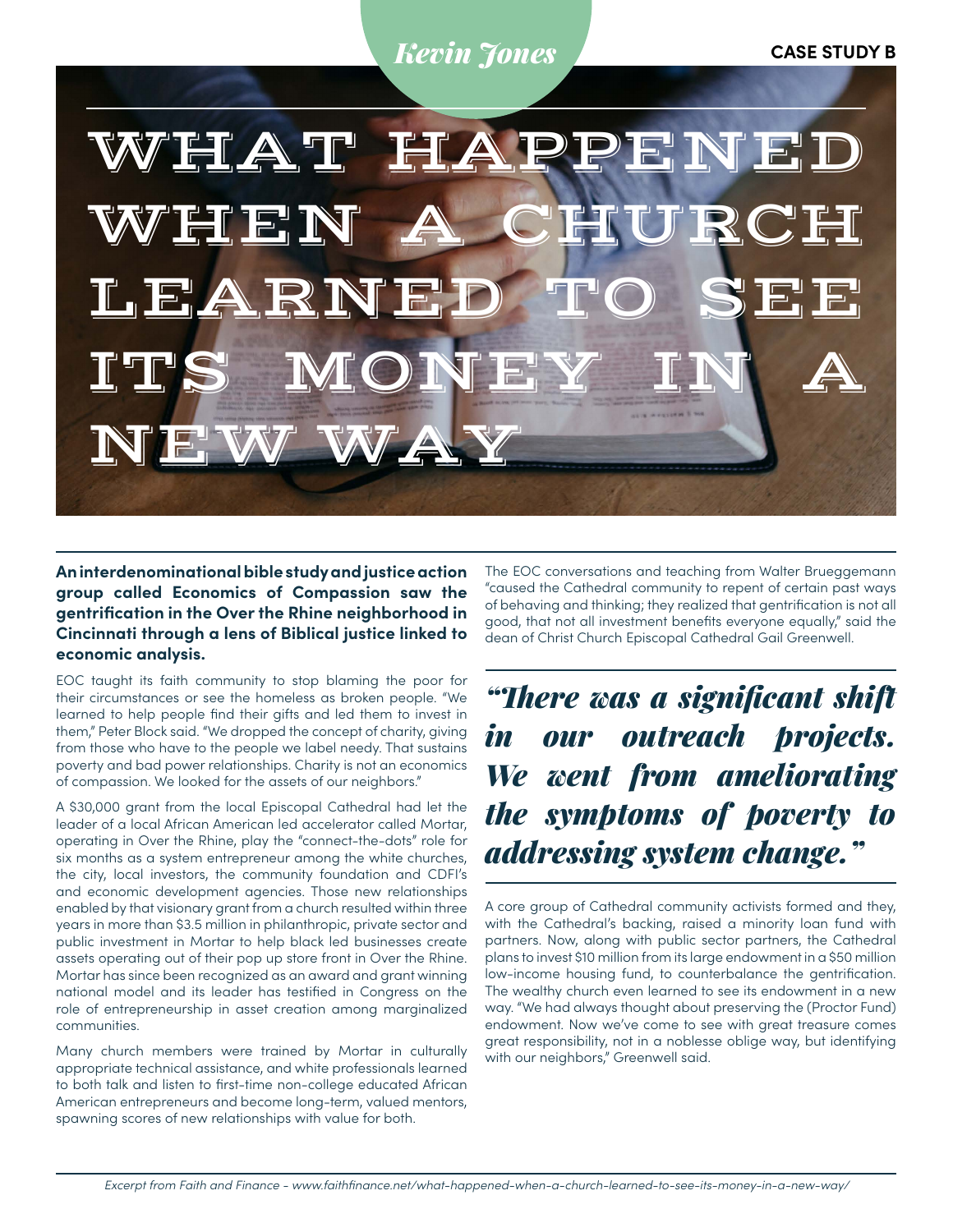#### *Kevin Jones* **CASE STUDY B**



**An interdenominational bible study and justice action group called Economics of Compassion saw the gentrification in the Over the Rhine neighborhood in Cincinnati through a lens of Biblical justice linked to economic analysis.** 

EOC taught its faith community to stop blaming the poor for their circumstances or see the homeless as broken people. "We learned to help people find their gifts and led them to invest in them," Peter Block said. "We dropped the concept of charity, giving from those who have to the people we label needy. That sustains poverty and bad power relationships. Charity is not an economics of compassion. We looked for the assets of our neighbors."

A \$30,000 grant from the local Episcopal Cathedral had let the leader of a local African American led accelerator called Mortar, operating in Over the Rhine, play the "connect-the-dots" role for six months as a system entrepreneur among the white churches, the city, local investors, the community foundation and CDFI's and economic development agencies. Those new relationships enabled by that visionary grant from a church resulted within three years in more than \$3.5 million in philanthropic, private sector and public investment in Mortar to help black led businesses create assets operating out of their pop up store front in Over the Rhine. Mortar has since been recognized as an award and grant winning national model and its leader has testified in Congress on the role of entrepreneurship in asset creation among marginalized communities.

Many church members were trained by Mortar in culturally appropriate technical assistance, and white professionals learned to both talk and listen to first-time non-college educated African American entrepreneurs and become long-term, valued mentors, spawning scores of new relationships with value for both.

The EOC conversations and teaching from Walter Brueggemann "caused the Cathedral community to repent of certain past ways of behaving and thinking; they realized that gentrification is not all good, that not all investment benefits everyone equally," said the dean of Christ Church Episcopal Cathedral Gail Greenwell.

*"There was a significant shift in our outreach projects. We went from ameliorating the symptoms of poverty to addressing system change."* 

A core group of Cathedral community activists formed and they, with the Cathedral's backing, raised a minority loan fund with partners. Now, along with public sector partners, the Cathedral plans to invest \$10 million from its large endowment in a \$50 million low-income housing fund, to counterbalance the gentrification. The wealthy church even learned to see its endowment in a new way. "We had always thought about preserving the (Proctor Fund) endowment. Now we've come to see with great treasure comes great responsibility, not in a noblesse oblige way, but identifying with our neighbors," Greenwell said.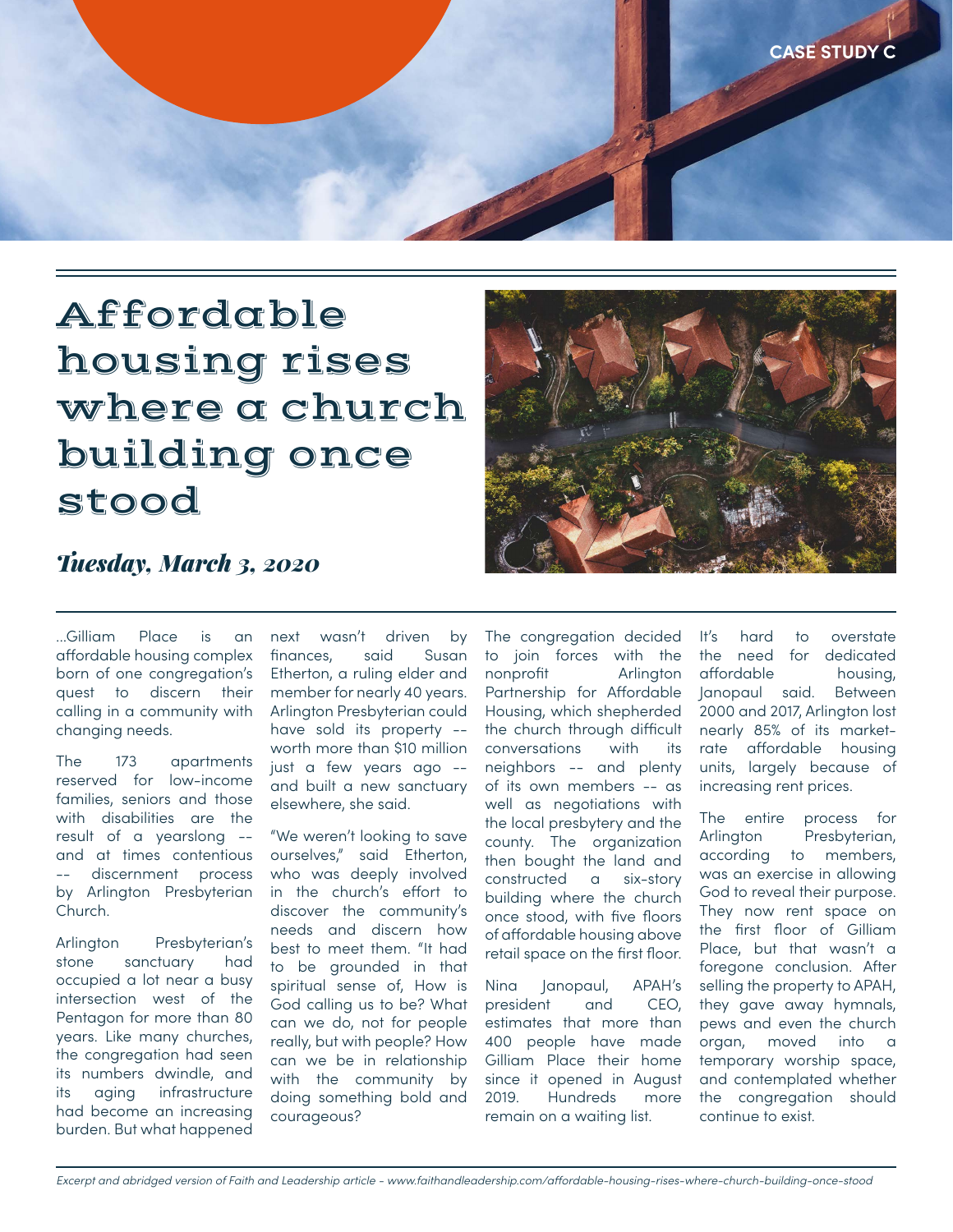

## Affordable housing rises where a church building once stood



#### *Tuesday, March 3, 2020*

...Gilliam Place is an affordable housing complex born of one congregation's quest to discern their calling in a community with changing needs.

The 173 apartments reserved for low-income families, seniors and those with disabilities are the result of a yearslong - and at times contentious discernment process by Arlington Presbyterian Church.

Arlington Presbyterian's stone sanctuary had occupied a lot near a busy intersection west of the Pentagon for more than 80 years. Like many churches, the congregation had seen its numbers dwindle, and its aging infrastructure had become an increasing burden. But what happened

next wasn't driven by finances, said Susan Etherton, a ruling elder and member for nearly 40 years. Arlington Presbyterian could have sold its property - worth more than \$10 million just a few years ago - and built a new sanctuary elsewhere, she said.

"We weren't looking to save ourselves," said Etherton, who was deeply involved in the church's effort to discover the community's needs and discern how best to meet them. "It had to be grounded in that spiritual sense of, How is God calling us to be? What can we do, not for people really, but with people? How can we be in relationship with the community by doing something bold and courageous?

The congregation decided to join forces with the nonprofit Arlington Partnership for Affordable Housing, which shepherded the church through difficult conversations with its neighbors -- and plenty of its own members -- as well as negotiations with the local presbytery and the county. The organization then bought the land and constructed a six-story building where the church once stood, with five floors of affordable housing above retail space on the first floor.

Nina Janopaul, APAH's president and CEO, estimates that more than 400 people have made Gilliam Place their home since it opened in August 2019. Hundreds more remain on a waiting list.

It's hard to overstate the need for dedicated affordable housing, Janopaul said. Between 2000 and 2017, Arlington lost nearly 85% of its marketrate affordable housing units, largely because of increasing rent prices.

The entire process for Arlington Presbyterian, according to members, was an exercise in allowing God to reveal their purpose. They now rent space on the first floor of Gilliam Place, but that wasn't a foregone conclusion. After selling the property to APAH, they gave away hymnals, pews and even the church organ, moved into a temporary worship space, and contemplated whether the congregation should continue to exist.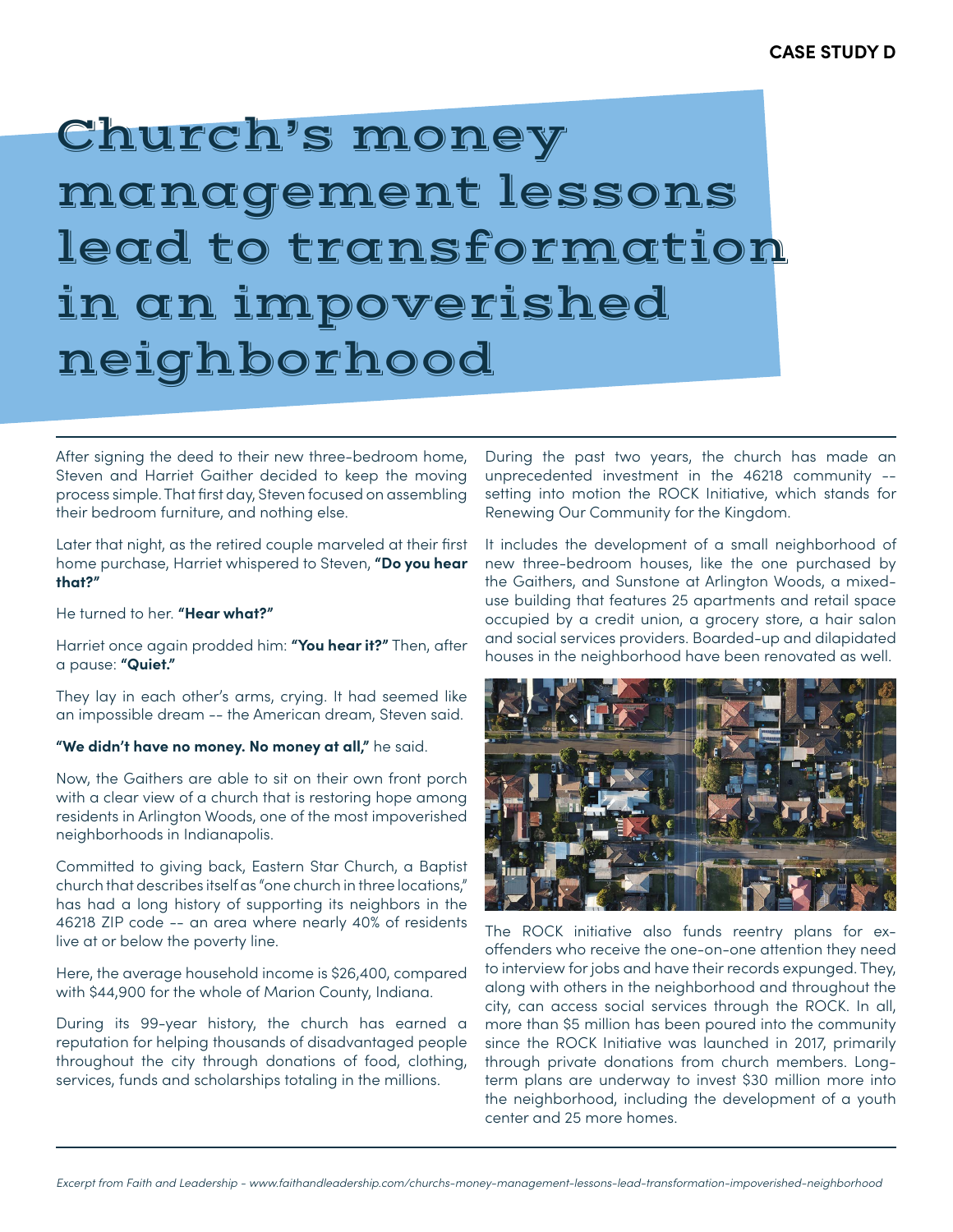## Church's money management lessons lead to transformation in an impoverished neighborhood

After signing the deed to their new three-bedroom home, Steven and Harriet Gaither decided to keep the moving process simple. That first day, Steven focused on assembling their bedroom furniture, and nothing else.

Later that night, as the retired couple marveled at their first home purchase, Harriet whispered to Steven, **"Do you hear that?"** 

He turned to her. **"Hear what?"** 

Harriet once again prodded him: **"You hear it?"** Then, after a pause: **"Quiet."** 

They lay in each other's arms, crying. It had seemed like an impossible dream -- the American dream, Steven said.

#### **"We didn't have no money. No money at all,"** he said.

Now, the Gaithers are able to sit on their own front porch with a clear view of a church that is restoring hope among residents in Arlington Woods, one of the most impoverished neighborhoods in Indianapolis.

Committed to giving back, Eastern Star Church, a Baptist church that describes itself as "one church in three locations," has had a long history of supporting its neighbors in the 46218 ZIP code -- an area where nearly 40% of residents live at or below the poverty line.

Here, the average household income is \$26,400, compared with \$44,900 for the whole of Marion County, Indiana.

During its 99-year history, the church has earned a reputation for helping thousands of disadvantaged people throughout the city through donations of food, clothing, services, funds and scholarships totaling in the millions.

During the past two years, the church has made an unprecedented investment in the 46218 community - setting into motion the ROCK Initiative, which stands for Renewing Our Community for the Kingdom.

It includes the development of a small neighborhood of new three-bedroom houses, like the one purchased by the Gaithers, and Sunstone at Arlington Woods, a mixeduse building that features 25 apartments and retail space occupied by a credit union, a grocery store, a hair salon and social services providers. Boarded-up and dilapidated houses in the neighborhood have been renovated as well.



The ROCK initiative also funds reentry plans for exoffenders who receive the one-on-one attention they need to interview for jobs and have their records expunged. They, along with others in the neighborhood and throughout the city, can access social services through the ROCK. In all, more than \$5 million has been poured into the community since the ROCK Initiative was launched in 2017, primarily through private donations from church members. Longterm plans are underway to invest \$30 million more into the neighborhood, including the development of a youth center and 25 more homes.